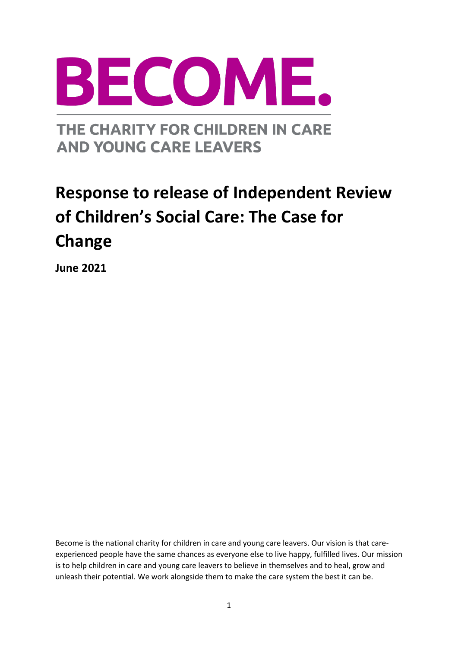

THE CHARITY FOR CHILDREN IN CARE **AND YOUNG CARE LEAVERS** 

# **Response to release of Independent Review of Children's Social Care: The Case for Change**

**June 2021**

Become is the national charity for children in care and young care leavers. Our vision is that careexperienced people have the same chances as everyone else to live happy, fulfilled lives. Our mission is to help children in care and young care leavers to believe in themselves and to heal, grow and unleash their potential. We work alongside them to make the care system the best it can be.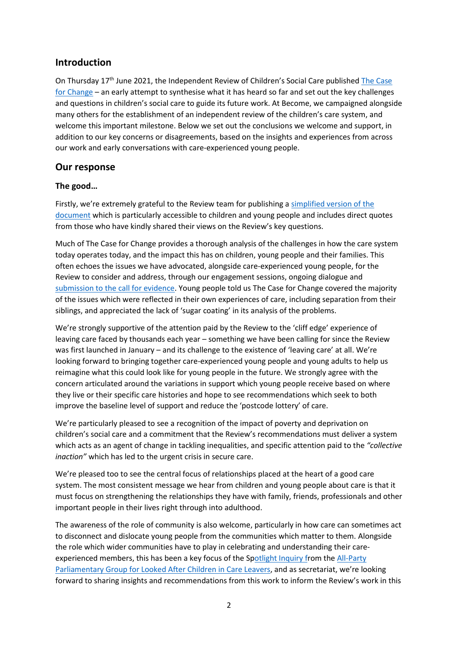## **Introduction**

On Thursday 17th June 2021, the Independent Review of Children's Social Care published [The Case](https://childrenssocialcare.independent-review.uk/case-for-change/)  [for Change](https://childrenssocialcare.independent-review.uk/case-for-change/) – an early attempt to synthesise what it has heard so far and set out the key challenges and questions in children's social care to guide its future work. At Become, we campaigned alongside many others for the establishment of an independent review of the children's care system, and welcome this important milestone. Below we set out the conclusions we welcome and support, in addition to our key concerns or disagreements, based on the insights and experiences from across our work and early conversations with care-experienced young people.

### **Our response**

#### **The good…**

Firstly, we're extremely grateful to the Review team for publishing [a simplified version of the](https://childrenssocialcare.independent-review.uk/wp-content/uploads/2021/06/case-for-change-young-people.pdf)  [document](https://childrenssocialcare.independent-review.uk/wp-content/uploads/2021/06/case-for-change-young-people.pdf) which is particularly accessible to children and young people and includes direct quotes from those who have kindly shared their views on the Review's key questions.

Much of The Case for Change provides a thorough analysis of the challenges in how the care system today operates today, and the impact this has on children, young people and their families. This often echoes the issues we have advocated, alongside care-experienced young people, for the Review to consider and address, through our engagement sessions, ongoing dialogue and [submission to the call for evidence.](https://www.becomecharity.org.uk/for-professionals/resources/submission-to-independent-review-of-children-s-social-care-call-for-evidence-2021/) Young people told us The Case for Change covered the majority of the issues which were reflected in their own experiences of care, including separation from their siblings, and appreciated the lack of 'sugar coating' in its analysis of the problems.

We're strongly supportive of the attention paid by the Review to the 'cliff edge' experience of leaving care faced by thousands each year – something we have been calling for since the Review was first launched in January – and its challenge to the existence of 'leaving care' at all. We're looking forward to bringing together care-experienced young people and young adults to help us reimagine what this could look like for young people in the future. We strongly agree with the concern articulated around the variations in support which young people receive based on where they live or their specific care histories and hope to see recommendations which seek to both improve the baseline level of support and reduce the 'postcode lottery' of care.

We're particularly pleased to see a recognition of the impact of poverty and deprivation on children's social care and a commitment that the Review's recommendations must deliver a system which acts as an agent of change in tackling inequalities, and specific attention paid to the *"collective inaction"* which has led to the urgent crisis in secure care.

We're pleased too to see the central focus of relationships placed at the heart of a good care system. The most consistent message we hear from children and young people about care is that it must focus on strengthening the relationships they have with family, friends, professionals and other important people in their lives right through into adulthood.

The awareness of the role of community is also welcome, particularly in how care can sometimes act to disconnect and dislocate young people from the communities which matter to them. Alongside the role which wider communities have to play in celebrating and understanding their care-experienced members, this has been a key focus of the [Spotlight Inquiry](https://becomecharity.org.uk/improving-the-care-system/appg/spotlight-inquiry/) from the All-Party [Parliamentary Group for Looked After Children in Care Leavers,](https://www.becomecharity.org.uk/improving-the-care-system/appg/) and as secretariat, we're looking forward to sharing insights and recommendations from this work to inform the Review's work in this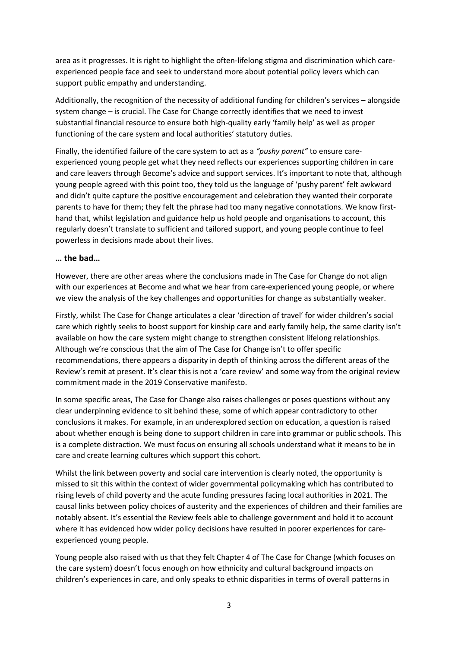area as it progresses. It is right to highlight the often-lifelong stigma and discrimination which careexperienced people face and seek to understand more about potential policy levers which can support public empathy and understanding.

Additionally, the recognition of the necessity of additional funding for children's services – alongside system change – is crucial. The Case for Change correctly identifies that we need to invest substantial financial resource to ensure both high-quality early 'family help' as well as proper functioning of the care system and local authorities' statutory duties.

Finally, the identified failure of the care system to act as a *"pushy parent"* to ensure careexperienced young people get what they need reflects our experiences supporting children in care and care leavers through Become's advice and support services. It's important to note that, although young people agreed with this point too, they told us the language of 'pushy parent' felt awkward and didn't quite capture the positive encouragement and celebration they wanted their corporate parents to have for them; they felt the phrase had too many negative connotations. We know firsthand that, whilst legislation and guidance help us hold people and organisations to account, this regularly doesn't translate to sufficient and tailored support, and young people continue to feel powerless in decisions made about their lives.

#### **… the bad…**

However, there are other areas where the conclusions made in The Case for Change do not align with our experiences at Become and what we hear from care-experienced young people, or where we view the analysis of the key challenges and opportunities for change as substantially weaker.

Firstly, whilst The Case for Change articulates a clear 'direction of travel' for wider children's social care which rightly seeks to boost support for kinship care and early family help, the same clarity isn't available on how the care system might change to strengthen consistent lifelong relationships. Although we're conscious that the aim of The Case for Change isn't to offer specific recommendations, there appears a disparity in depth of thinking across the different areas of the Review's remit at present. It's clear this is not a 'care review' and some way from the original review commitment made in the 2019 Conservative manifesto.

In some specific areas, The Case for Change also raises challenges or poses questions without any clear underpinning evidence to sit behind these, some of which appear contradictory to other conclusions it makes. For example, in an underexplored section on education, a question is raised about whether enough is being done to support children in care into grammar or public schools. This is a complete distraction. We must focus on ensuring all schools understand what it means to be in care and create learning cultures which support this cohort.

Whilst the link between poverty and social care intervention is clearly noted, the opportunity is missed to sit this within the context of wider governmental policymaking which has contributed to rising levels of child poverty and the acute funding pressures facing local authorities in 2021. The causal links between policy choices of austerity and the experiences of children and their families are notably absent. It's essential the Review feels able to challenge government and hold it to account where it has evidenced how wider policy decisions have resulted in poorer experiences for careexperienced young people.

Young people also raised with us that they felt Chapter 4 of The Case for Change (which focuses on the care system) doesn't focus enough on how ethnicity and cultural background impacts on children's experiences in care, and only speaks to ethnic disparities in terms of overall patterns in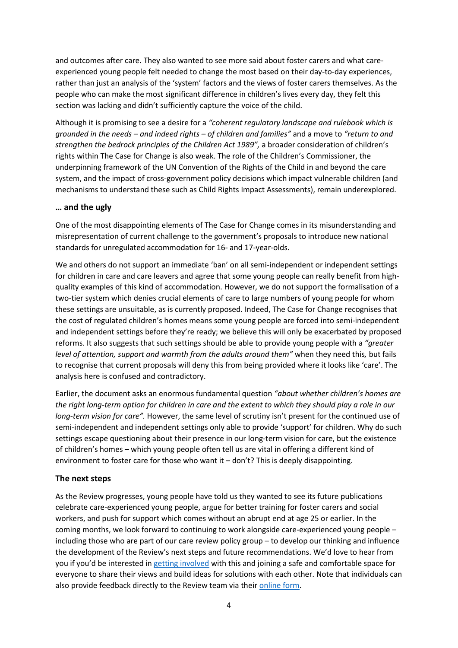and outcomes after care. They also wanted to see more said about foster carers and what careexperienced young people felt needed to change the most based on their day-to-day experiences, rather than just an analysis of the 'system' factors and the views of foster carers themselves. As the people who can make the most significant difference in children's lives every day, they felt this section was lacking and didn't sufficiently capture the voice of the child.

Although it is promising to see a desire for a *"coherent regulatory landscape and rulebook which is grounded in the needs – and indeed rights – of children and families"* and a move to *"return to and strengthen the bedrock principles of the Children Act 1989",* a broader consideration of children's rights within The Case for Change is also weak. The role of the Children's Commissioner, the underpinning framework of the UN Convention of the Rights of the Child in and beyond the care system, and the impact of cross-government policy decisions which impact vulnerable children (and mechanisms to understand these such as Child Rights Impact Assessments), remain underexplored.

#### **… and the ugly**

One of the most disappointing elements of The Case for Change comes in its misunderstanding and misrepresentation of current challenge to the government's proposals to introduce new national standards for unregulated accommodation for 16- and 17-year-olds.

We and others do not support an immediate 'ban' on all semi-independent or independent settings for children in care and care leavers and agree that some young people can really benefit from highquality examples of this kind of accommodation. However, we do not support the formalisation of a two-tier system which denies crucial elements of care to large numbers of young people for whom these settings are unsuitable, as is currently proposed. Indeed, The Case for Change recognises that the cost of regulated children's homes means some young people are forced into semi-independent and independent settings before they're ready; we believe this will only be exacerbated by proposed reforms. It also suggests that such settings should be able to provide young people with a *"greater level of attention, support and warmth from the adults around them"* when they need this*,* but fails to recognise that current proposals will deny this from being provided where it looks like 'care'. The analysis here is confused and contradictory.

Earlier, the document asks an enormous fundamental question *"about whether children's homes are the right long-term option for children in care and the extent to which they should play a role in our long-term vision for care".* However, the same level of scrutiny isn't present for the continued use of semi-independent and independent settings only able to provide 'support' for children. Why do such settings escape questioning about their presence in our long-term vision for care, but the existence of children's homes – which young people often tell us are vital in offering a different kind of environment to foster care for those who want it – don't? This is deeply disappointing.

#### **The next steps**

As the Review progresses, young people have told us they wanted to see its future publications celebrate care-experienced young people, argue for better training for foster carers and social workers, and push for support which comes without an abrupt end at age 25 or earlier. In the coming months, we look forward to continuing to work alongside care-experienced young people – including those who are part of our care review policy group – to develop our thinking and influence the development of the Review's next steps and future recommendations. We'd love to hear from you if you'd be interested in [getting involved](https://www.becomecharity.org.uk/improving-the-care-system/how-to-get-involved/) with this and joining a safe and comfortable space for everyone to share their views and build ideas for solutions with each other. Note that individuals can also provide feedback directly to the Review team via their [online form.](https://forms.office.com/Pages/ResponsePage.aspx?id=yXfS-grGoU2187O4s0qC-QAD6vSz34RJjTviagWXrbtUN05TOEdNWlhKWloyTDcwWUM2R0RFM1FJSy4u)